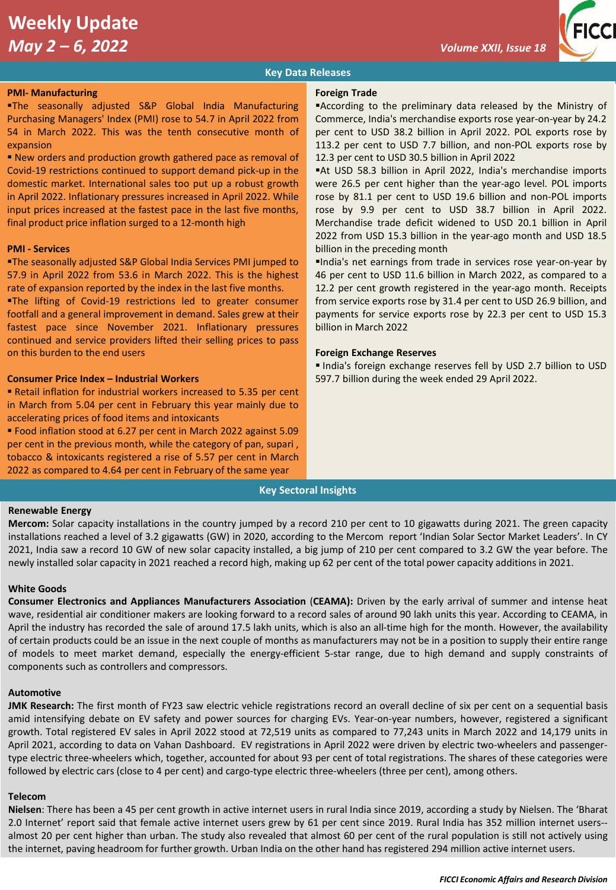# **Weekly Update**  *May 2 – 6, 2022 Volume XXII, Issue 18*



# **Key Data Releases**

### **PMI- Manufacturing**

▪The seasonally adjusted S&P Global India Manufacturing Purchasing Managers' Index (PMI) rose to 54.7 in April 2022 from 54 in March 2022. This was the tenth consecutive month of expansion

■ New orders and production growth gathered pace as removal of Covid-19 restrictions continued to support demand pick-up in the domestic market. International sales too put up a robust growth in April 2022. Inflationary pressures increased in April 2022. While input prices increased at the fastest pace in the last five months, final product price inflation surged to a 12-month high

### **PMI - Services**

**The seasonally adjusted S&P Global India Services PMI jumped to** 57.9 in April 2022 from 53.6 in March 2022. This is the highest rate of expansion reported by the index in the last five months.

**. The lifting of Covid-19 restrictions led to greater consumer** footfall and a general improvement in demand. Sales grew at their fastest pace since November 2021. Inflationary pressures continued and service providers lifted their selling prices to pass on this burden to the end users

## **Consumer Price Index – Industrial Workers**

■ Retail inflation for industrial workers increased to 5.35 per cent in March from 5.04 per cent in February this year mainly due to accelerating prices of food items and intoxicants

▪ Food inflation stood at 6.27 per cent in March 2022 against 5.09 per cent in the previous month, while the category of pan, supari , tobacco & intoxicants registered a rise of 5.57 per cent in March 2022 as compared to 4.64 per cent in February of the same year

## **Foreign Trade**

▪According to the preliminary data released by the Ministry of Commerce, India's merchandise exports rose year-on-year by 24.2 per cent to USD 38.2 billion in April 2022. POL exports rose by 113.2 per cent to USD 7.7 billion, and non-POL exports rose by 12.3 per cent to USD 30.5 billion in April 2022

▪At USD 58.3 billion in April 2022, India's merchandise imports were 26.5 per cent higher than the year-ago level. POL imports rose by 81.1 per cent to USD 19.6 billion and non-POL imports rose by 9.9 per cent to USD 38.7 billion in April 2022. Merchandise trade deficit widened to USD 20.1 billion in April 2022 from USD 15.3 billion in the year-ago month and USD 18.5 billion in the preceding month

▪India's net earnings from trade in services rose year-on-year by 46 per cent to USD 11.6 billion in March 2022, as compared to a 12.2 per cent growth registered in the year-ago month. Receipts from service exports rose by 31.4 per cent to USD 26.9 billion, and payments for service exports rose by 22.3 per cent to USD 15.3 billion in March 2022

## **Foreign Exchange Reserves**

▪ India's foreign exchange reserves fell by USD 2.7 billion to USD 597.7 billion during the week ended 29 April 2022.

# **Key Sectoral Insights**

## **Renewable Energy**

**Mercom:** Solar capacity installations in the country jumped by a record 210 per cent to 10 gigawatts during 2021. The green capacity installations reached a level of 3.2 gigawatts (GW) in 2020, according to the Mercom report 'Indian Solar Sector Market Leaders'. In CY 2021, India saw a record 10 GW of new solar capacity installed, a big jump of 210 per cent compared to 3.2 GW the year before. The newly installed solar capacity in 2021 reached a record high, making up 62 per cent of the total power capacity additions in 2021.

#### **White Goods**

**Consumer Electronics and Appliances Manufacturers Association** (**CEAMA):** Driven by the early arrival of summer and intense heat wave, residential air conditioner makers are looking forward to a record sales of around 90 lakh units this year. According to CEAMA, in April the industry has recorded the sale of around 17.5 lakh units, which is also an all-time high for the month. However, the availability of certain products could be an issue in the next couple of months as manufacturers may not be in a position to supply their entire range of models to meet market demand, especially the energy-efficient 5-star range, due to high demand and supply constraints of components such as controllers and compressors.

#### **Automotive**

**JMK Research:** The first month of FY23 saw electric vehicle registrations record an overall decline of six per cent on a sequential basis amid intensifying debate on EV safety and power sources for charging EVs. Year-on-year numbers, however, registered a significant growth. Total registered EV sales in April 2022 stood at 72,519 units as compared to 77,243 units in March 2022 and 14,179 units in April 2021, according to data on Vahan Dashboard. EV registrations in April 2022 were driven by electric two-wheelers and passengertype electric three-wheelers which, together, accounted for about 93 per cent of total registrations. The shares of these categories were followed by electric cars (close to 4 per cent) and cargo-type electric three-wheelers (three per cent), among others.

## **Telecom**

**Nielsen**: There has been a 45 per cent growth in active internet users in rural India since 2019, according a study by Nielsen. The 'Bharat 2.0 Internet' report said that female active internet users grew by 61 per cent since 2019. Rural India has 352 million internet users- almost 20 per cent higher than urban. The study also revealed that almost 60 per cent of the rural population is still not actively using the internet, paving headroom for further growth. Urban India on the other hand has registered 294 million active internet users.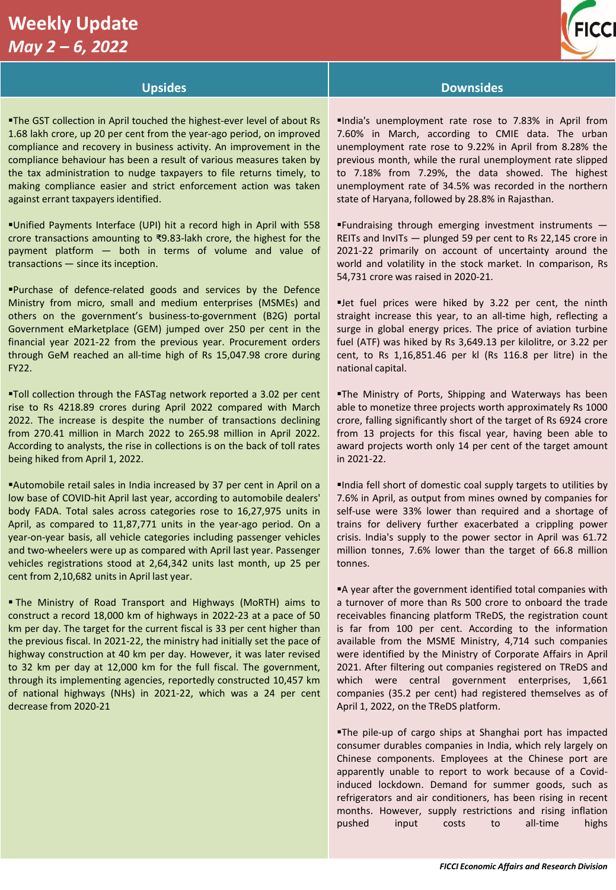# **Weekly Update**  *May 2 – 6, 2022*



# **Upsides Downsides**

**The GST collection in April touched the highest-ever level of about Rs** 1.68 lakh crore, up 20 per cent from the year-ago period, on improved compliance and recovery in business activity. An improvement in the compliance behaviour has been a result of various measures taken by the tax administration to nudge taxpayers to file returns timely, to making compliance easier and strict enforcement action was taken against errant taxpayers identified.

▪Unified Payments Interface (UPI) hit a record high in April with 558 crore transactions amounting to ₹9.83-lakh crore, the highest for the payment platform — both in terms of volume and value of transactions — since its inception.

▪Purchase of defence-related goods and services by the Defence Ministry from micro, small and medium enterprises (MSMEs) and others on the government's business-to-government (B2G) portal Government eMarketplace (GEM) jumped over 250 per cent in the financial year 2021-22 from the previous year. Procurement orders through GeM reached an all-time high of Rs 15,047.98 crore during FY22.

▪Toll collection through the FASTag network reported a 3.02 per cent rise to Rs 4218.89 crores during April 2022 compared with March 2022. The increase is despite the number of transactions declining from 270.41 million in March 2022 to 265.98 million in April 2022. According to analysts, the rise in collections is on the back of toll rates being hiked from April 1, 2022.

▪Automobile retail sales in India increased by 37 per cent in April on a low base of COVID-hit April last year, according to automobile dealers' body FADA. Total sales across categories rose to 16,27,975 units in April, as compared to 11,87,771 units in the year-ago period. On a year-on-year basis, all vehicle categories including passenger vehicles and two-wheelers were up as compared with April last year. Passenger vehicles registrations stood at 2,64,342 units last month, up 25 per cent from 2,10,682 units in April last year.

**The Ministry of Road Transport and Highways (MoRTH) aims to** construct a record 18,000 km of highways in 2022-23 at a pace of 50 km per day. The target for the current fiscal is 33 per cent higher than the previous fiscal. In 2021-22, the ministry had initially set the pace of highway construction at 40 km per day. However, it was later revised to 32 km per day at 12,000 km for the full fiscal. The government, through its implementing agencies, reportedly constructed 10,457 km of national highways (NHs) in 2021-22, which was a 24 per cent decrease from 2020-21

▪India's unemployment rate rose to 7.83% in April from 7.60% in March, according to CMIE data. The urban unemployment rate rose to 9.22% in April from 8.28% the previous month, while the rural unemployment rate slipped to 7.18% from 7.29%, the data showed. The highest unemployment rate of 34.5% was recorded in the northern state of Haryana, followed by 28.8% in Rajasthan.

▪Fundraising through emerging investment instruments — REITs and InvITs — plunged 59 per cent to Rs 22,145 crore in 2021-22 primarily on account of uncertainty around the world and volatility in the stock market. In comparison, Rs 54,731 crore was raised in 2020-21.

▪Jet fuel prices were hiked by 3.22 per cent, the ninth straight increase this year, to an all-time high, reflecting a surge in global energy prices. The price of aviation turbine fuel (ATF) was hiked by Rs 3,649.13 per kilolitre, or 3.22 per cent, to Rs 1,16,851.46 per kl (Rs 116.8 per litre) in the national capital.

**The Ministry of Ports, Shipping and Waterways has been** able to monetize three projects worth approximately Rs 1000 crore, falling significantly short of the target of Rs 6924 crore from 13 projects for this fiscal year, having been able to award projects worth only 14 per cent of the target amount in 2021-22.

▪India fell short of domestic coal supply targets to utilities by 7.6% in April, as output from mines owned by companies for self-use were 33% lower than required and a shortage of trains for delivery further exacerbated a crippling power crisis. India's supply to the power sector in April was 61.72 million tonnes, 7.6% lower than the target of 66.8 million tonnes.

■A year after the government identified total companies with a turnover of more than Rs 500 crore to onboard the trade receivables financing platform TReDS, the registration count is far from 100 per cent. According to the information available from the MSME Ministry, 4,714 such companies were identified by the Ministry of Corporate Affairs in April 2021. After filtering out companies registered on TReDS and which were central government enterprises, 1,661 companies (35.2 per cent) had registered themselves as of April 1, 2022, on the TReDS platform.

▪The pile-up of cargo ships at Shanghai port has impacted consumer durables companies in India, which rely largely on Chinese components. Employees at the Chinese port are apparently unable to report to work because of a Covidinduced lockdown. Demand for summer goods, such as refrigerators and air conditioners, has been rising in recent months. However, supply restrictions and rising inflation pushed input costs to all-time highs